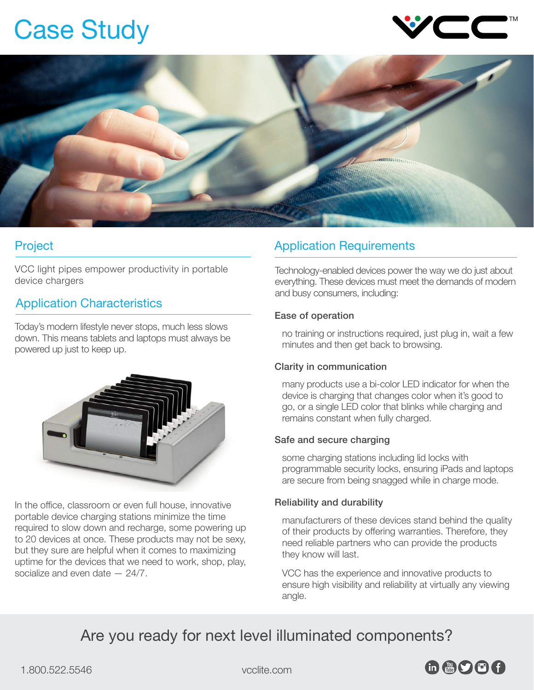# Case Study





## Project

VCC light pipes empower productivity in portable device chargers

# Application Characteristics

Today's modern lifestyle never stops, much less slows down. This means tablets and laptops must always be powered up just to keep up.



In the office, classroom or even full house, innovative portable device charging stations minimize the time required to slow down and recharge, some powering up to 20 devices at once. These products may not be sexy, but they sure are helpful when it comes to maximizing uptime for the devices that we need to work, shop, play, socialize and even date — 24/7.

# Application Requirements

Technology-enabled devices power the way we do just about everything. These devices must meet the demands of modern and busy consumers, including:

## Ease of operation

no training or instructions required, just plug in, wait a few minutes and then get back to browsing.

## Clarity in communication

many products use a bi-color LED indicator for when the device is charging that changes color when it's good to go, or a single LED color that blinks while charging and remains constant when fully charged.

## Safe and secure charging

some charging stations including lid locks with programmable security locks, ensuring iPads and laptops are secure from being snagged while in charge mode.

## Reliability and durability

manufacturers of these devices stand behind the quality of their products by offering warranties. Therefore, they need reliable partners who can provide the products they know will last.

VCC has the experience and innovative products to ensure high visibility and reliability at virtually any viewing angle.

# Are you ready for next level illuminated components?